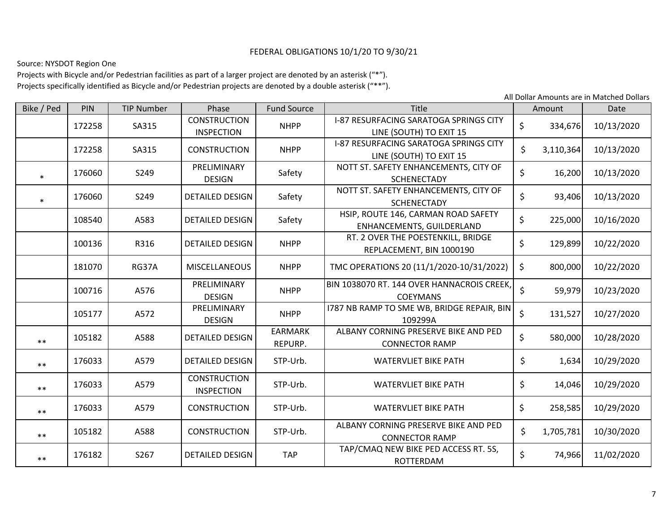## FEDERAL OBLIGATIONS 10/1/20 TO 9/30/21

Source: NYSDOT Region One

Projects with Bicycle and/or Pedestrian facilities as part of <sup>a</sup> larger project are denoted by an asterisk ("\*"). Projects specifically identified as Bicycle and/or Pedestrian projects are denoted by <sup>a</sup> double asterisk ("\*\*").

| Bike / Ped | PIN    | <b>TIP Number</b> | Phase                                    | <b>Fund Source</b>        | Title                                                                    | Amount  |           | Date       |
|------------|--------|-------------------|------------------------------------------|---------------------------|--------------------------------------------------------------------------|---------|-----------|------------|
|            | 172258 | SA315             | <b>CONSTRUCTION</b><br><b>INSPECTION</b> | <b>NHPP</b>               | <b>I-87 RESURFACING SARATOGA SPRINGS CITY</b><br>LINE (SOUTH) TO EXIT 15 | $\zeta$ | 334,676   | 10/13/2020 |
|            | 172258 | SA315             | <b>CONSTRUCTION</b>                      | <b>NHPP</b>               | I-87 RESURFACING SARATOGA SPRINGS CITY<br>LINE (SOUTH) TO EXIT 15        | \$      | 3,110,364 | 10/13/2020 |
| $\ast$     | 176060 | S249              | PRELIMINARY<br><b>DESIGN</b>             | Safety                    | NOTT ST. SAFETY ENHANCEMENTS, CITY OF<br><b>SCHENECTADY</b>              | \$      | 16,200    | 10/13/2020 |
| $\ast$     | 176060 | S249              | <b>DETAILED DESIGN</b>                   | Safety                    | NOTT ST. SAFETY ENHANCEMENTS, CITY OF<br><b>SCHENECTADY</b>              | \$      | 93,406    | 10/13/2020 |
|            | 108540 | A583              | <b>DETAILED DESIGN</b>                   | Safety                    | HSIP, ROUTE 146, CARMAN ROAD SAFETY<br>ENHANCEMENTS, GUILDERLAND         | \$      | 225,000   | 10/16/2020 |
|            | 100136 | R316              | <b>DETAILED DESIGN</b>                   | <b>NHPP</b>               | RT. 2 OVER THE POESTENKILL, BRIDGE<br>REPLACEMENT, BIN 1000190           | \$      | 129,899   | 10/22/2020 |
|            | 181070 | RG37A             | <b>MISCELLANEOUS</b>                     | <b>NHPP</b>               | TMC OPERATIONS 20 (11/1/2020-10/31/2022)                                 | \$      | 800,000   | 10/22/2020 |
|            | 100716 | A576              | PRELIMINARY<br><b>DESIGN</b>             | <b>NHPP</b>               | BIN 1038070 RT. 144 OVER HANNACROIS CREEK,<br><b>COEYMANS</b>            | \$      | 59,979    | 10/23/2020 |
|            | 105177 | A572              | PRELIMINARY<br><b>DESIGN</b>             | <b>NHPP</b>               | 1787 NB RAMP TO SME WB, BRIDGE REPAIR, BIN<br>109299A                    | \$      | 131,527   | 10/27/2020 |
| $***$      | 105182 | A588              | <b>DETAILED DESIGN</b>                   | <b>EARMARK</b><br>REPURP. | ALBANY CORNING PRESERVE BIKE AND PED<br><b>CONNECTOR RAMP</b>            | \$      | 580,000   | 10/28/2020 |
| $***$      | 176033 | A579              | <b>DETAILED DESIGN</b>                   | STP-Urb.                  | <b>WATERVLIET BIKE PATH</b>                                              | \$      | 1,634     | 10/29/2020 |
| $**$       | 176033 | A579              | <b>CONSTRUCTION</b><br><b>INSPECTION</b> | STP-Urb.                  | <b>WATERVLIET BIKE PATH</b>                                              | \$      | 14,046    | 10/29/2020 |
| $***$      | 176033 | A579              | <b>CONSTRUCTION</b>                      | STP-Urb.                  | <b>WATERVLIET BIKE PATH</b>                                              | \$      | 258,585   | 10/29/2020 |
| $***$      | 105182 | A588              | <b>CONSTRUCTION</b>                      | STP-Urb.                  | ALBANY CORNING PRESERVE BIKE AND PED<br><b>CONNECTOR RAMP</b>            | \$      | 1,705,781 | 10/30/2020 |
| $\ast\ast$ | 176182 | S267              | <b>DETAILED DESIGN</b>                   | <b>TAP</b>                | TAP/CMAQ NEW BIKE PED ACCESS RT. 5S,<br>ROTTERDAM                        | \$      | 74,966    | 11/02/2020 |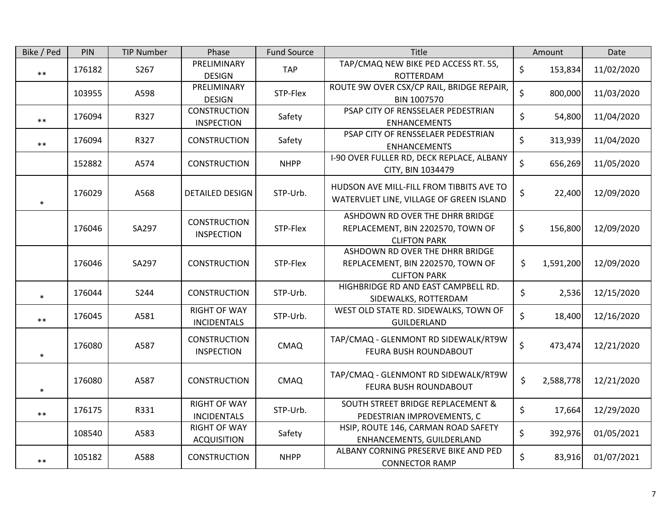| Bike / Ped | PIN    | <b>TIP Number</b> | Phase                                     | <b>Fund Source</b> | Title                                                                                       | Amount          | Date       |
|------------|--------|-------------------|-------------------------------------------|--------------------|---------------------------------------------------------------------------------------------|-----------------|------------|
| $**$       | 176182 | S267              | PRELIMINARY<br><b>DESIGN</b>              | <b>TAP</b>         | TAP/CMAQ NEW BIKE PED ACCESS RT. 5S,<br>ROTTERDAM                                           | \$<br>153,834   | 11/02/2020 |
|            | 103955 | A598              | PRELIMINARY<br><b>DESIGN</b>              | STP-Flex           | ROUTE 9W OVER CSX/CP RAIL, BRIDGE REPAIR,<br>BIN 1007570                                    | \$<br>800,000   | 11/03/2020 |
| $**$       | 176094 | R327              | <b>CONSTRUCTION</b><br><b>INSPECTION</b>  | Safety             | PSAP CITY OF RENSSELAER PEDESTRIAN<br><b>ENHANCEMENTS</b>                                   | \$<br>54,800    | 11/04/2020 |
| $***$      | 176094 | R327              | <b>CONSTRUCTION</b>                       | Safety             | PSAP CITY OF RENSSELAER PEDESTRIAN<br><b>ENHANCEMENTS</b>                                   | \$<br>313,939   | 11/04/2020 |
|            | 152882 | A574              | <b>CONSTRUCTION</b>                       | <b>NHPP</b>        | I-90 OVER FULLER RD, DECK REPLACE, ALBANY<br>CITY, BIN 1034479                              | \$<br>656,269   | 11/05/2020 |
| $\ast$     | 176029 | A568              | <b>DETAILED DESIGN</b>                    | STP-Urb.           | HUDSON AVE MILL-FILL FROM TIBBITS AVE TO<br>WATERVLIET LINE, VILLAGE OF GREEN ISLAND        | \$<br>22,400    | 12/09/2020 |
|            | 176046 | SA297             | <b>CONSTRUCTION</b><br><b>INSPECTION</b>  | STP-Flex           | ASHDOWN RD OVER THE DHRR BRIDGE<br>REPLACEMENT, BIN 2202570, TOWN OF<br><b>CLIFTON PARK</b> | \$<br>156,800   | 12/09/2020 |
|            | 176046 | SA297             | <b>CONSTRUCTION</b>                       | STP-Flex           | ASHDOWN RD OVER THE DHRR BRIDGE<br>REPLACEMENT, BIN 2202570, TOWN OF<br><b>CLIFTON PARK</b> | \$<br>1,591,200 | 12/09/2020 |
| $\ast$     | 176044 | S244              | <b>CONSTRUCTION</b>                       | STP-Urb.           | HIGHBRIDGE RD AND EAST CAMPBELL RD.<br>SIDEWALKS, ROTTERDAM                                 | \$<br>2,536     | 12/15/2020 |
| $***$      | 176045 | A581              | <b>RIGHT OF WAY</b><br><b>INCIDENTALS</b> | STP-Urb.           | WEST OLD STATE RD. SIDEWALKS, TOWN OF<br>GUILDERLAND                                        | \$<br>18,400    | 12/16/2020 |
| $\ast$     | 176080 | A587              | <b>CONSTRUCTION</b><br><b>INSPECTION</b>  | <b>CMAQ</b>        | TAP/CMAQ - GLENMONT RD SIDEWALK/RT9W<br>FEURA BUSH ROUNDABOUT                               | \$<br>473,474   | 12/21/2020 |
| $\ast$     | 176080 | A587              | <b>CONSTRUCTION</b>                       | <b>CMAQ</b>        | TAP/CMAQ - GLENMONT RD SIDEWALK/RT9W<br>FEURA BUSH ROUNDABOUT                               | \$<br>2,588,778 | 12/21/2020 |
| $***$      | 176175 | R331              | <b>RIGHT OF WAY</b><br><b>INCIDENTALS</b> | STP-Urb.           | SOUTH STREET BRIDGE REPLACEMENT &<br>PEDESTRIAN IMPROVEMENTS, C                             | \$<br>17,664    | 12/29/2020 |
|            | 108540 | A583              | <b>RIGHT OF WAY</b><br><b>ACQUISITION</b> | Safety             | HSIP, ROUTE 146, CARMAN ROAD SAFETY<br>ENHANCEMENTS, GUILDERLAND                            | \$<br>392,976   | 01/05/2021 |
| $***$      | 105182 | A588              | <b>CONSTRUCTION</b>                       | <b>NHPP</b>        | ALBANY CORNING PRESERVE BIKE AND PED<br><b>CONNECTOR RAMP</b>                               | \$<br>83,916    | 01/07/2021 |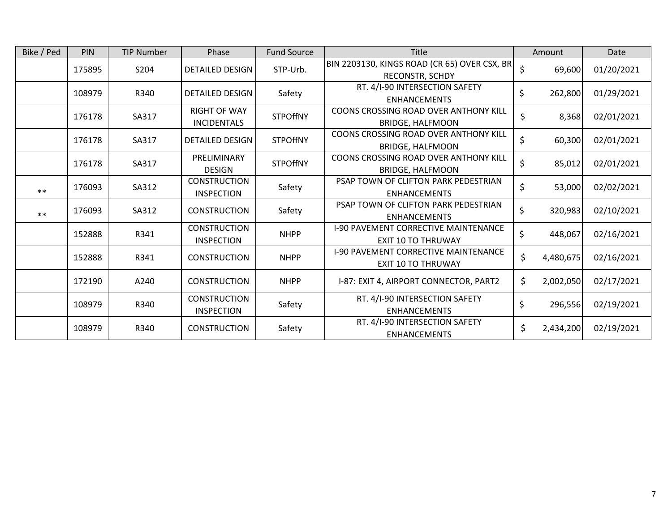| Bike / Ped | PIN    | <b>TIP Number</b> | Phase                                     | <b>Fund Source</b> | <b>Title</b>                                                             | Amount  |           | Date       |
|------------|--------|-------------------|-------------------------------------------|--------------------|--------------------------------------------------------------------------|---------|-----------|------------|
|            | 175895 | S204              | <b>DETAILED DESIGN</b>                    | STP-Urb.           | BIN 2203130, KINGS ROAD (CR 65) OVER CSX, BR<br><b>RECONSTR, SCHDY</b>   | $\zeta$ | 69,600    | 01/20/2021 |
|            | 108979 | R340              | <b>DETAILED DESIGN</b>                    | Safety             | RT. 4/I-90 INTERSECTION SAFETY<br><b>ENHANCEMENTS</b>                    | \$      | 262,800   | 01/29/2021 |
|            | 176178 | SA317             | <b>RIGHT OF WAY</b><br><b>INCIDENTALS</b> | <b>STPOffNY</b>    | COONS CROSSING ROAD OVER ANTHONY KILL<br><b>BRIDGE, HALFMOON</b>         | \$      | 8,368     | 02/01/2021 |
|            | 176178 | SA317             | <b>DETAILED DESIGN</b>                    | <b>STPOffNY</b>    | COONS CROSSING ROAD OVER ANTHONY KILL<br><b>BRIDGE, HALFMOON</b>         | $\zeta$ | 60,300    | 02/01/2021 |
|            | 176178 | SA317             | PRELIMINARY<br><b>DESIGN</b>              | <b>STPOffNY</b>    | COONS CROSSING ROAD OVER ANTHONY KILL<br><b>BRIDGE, HALFMOON</b>         | \$      | 85,012    | 02/01/2021 |
| $**$       | 176093 | SA312             | <b>CONSTRUCTION</b><br><b>INSPECTION</b>  | Safety             | PSAP TOWN OF CLIFTON PARK PEDESTRIAN<br><b>ENHANCEMENTS</b>              | \$      | 53,000    | 02/02/2021 |
| $**$       | 176093 | SA312             | <b>CONSTRUCTION</b>                       | Safety             | PSAP TOWN OF CLIFTON PARK PEDESTRIAN<br><b>ENHANCEMENTS</b>              | \$      | 320,983   | 02/10/2021 |
|            | 152888 | R341              | <b>CONSTRUCTION</b><br><b>INSPECTION</b>  | <b>NHPP</b>        | <b>I-90 PAVEMENT CORRECTIVE MAINTENANCE</b><br><b>EXIT 10 TO THRUWAY</b> | \$      | 448,067   | 02/16/2021 |
|            | 152888 | R341              | <b>CONSTRUCTION</b>                       | <b>NHPP</b>        | <b>I-90 PAVEMENT CORRECTIVE MAINTENANCE</b><br><b>EXIT 10 TO THRUWAY</b> | \$      | 4,480,675 | 02/16/2021 |
|            | 172190 | A240              | <b>CONSTRUCTION</b>                       | <b>NHPP</b>        | I-87: EXIT 4, AIRPORT CONNECTOR, PART2                                   | \$      | 2,002,050 | 02/17/2021 |
|            | 108979 | R340              | <b>CONSTRUCTION</b><br><b>INSPECTION</b>  | Safety             | RT. 4/I-90 INTERSECTION SAFETY<br><b>ENHANCEMENTS</b>                    | \$      | 296,556   | 02/19/2021 |
|            | 108979 | R340              | <b>CONSTRUCTION</b>                       | Safety             | RT. 4/I-90 INTERSECTION SAFETY<br><b>ENHANCEMENTS</b>                    | \$      | 2,434,200 | 02/19/2021 |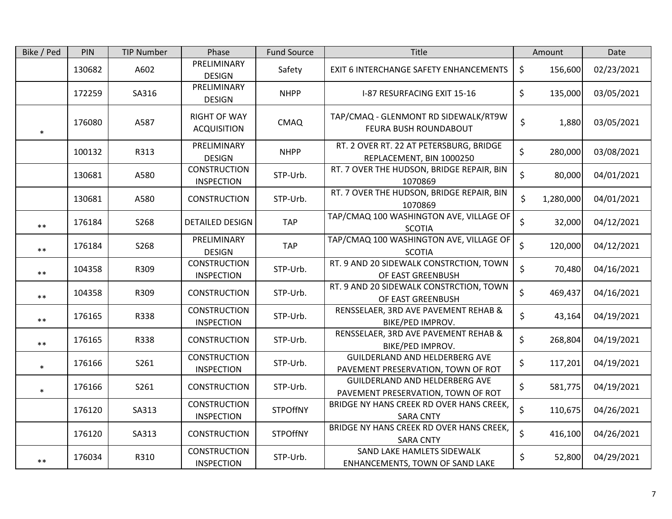| Bike / Ped | PIN    | <b>TIP Number</b> | Phase                                     | <b>Fund Source</b> | Title                                                                | Amount          | Date       |
|------------|--------|-------------------|-------------------------------------------|--------------------|----------------------------------------------------------------------|-----------------|------------|
|            | 130682 | A602              | PRELIMINARY<br><b>DESIGN</b>              | Safety             | EXIT 6 INTERCHANGE SAFETY ENHANCEMENTS                               | \$<br>156,600   | 02/23/2021 |
|            | 172259 | SA316             | PRELIMINARY<br><b>DESIGN</b>              | <b>NHPP</b>        | I-87 RESURFACING EXIT 15-16                                          | \$<br>135,000   | 03/05/2021 |
| $\ast$     | 176080 | A587              | <b>RIGHT OF WAY</b><br><b>ACQUISITION</b> | <b>CMAQ</b>        | TAP/CMAQ - GLENMONT RD SIDEWALK/RT9W<br>FEURA BUSH ROUNDABOUT        | \$<br>1,880     | 03/05/2021 |
|            | 100132 | R313              | PRELIMINARY<br><b>DESIGN</b>              | <b>NHPP</b>        | RT. 2 OVER RT. 22 AT PETERSBURG, BRIDGE<br>REPLACEMENT, BIN 1000250  | \$<br>280,000   | 03/08/2021 |
|            | 130681 | A580              | <b>CONSTRUCTION</b><br><b>INSPECTION</b>  | STP-Urb.           | RT. 7 OVER THE HUDSON, BRIDGE REPAIR, BIN<br>1070869                 | \$<br>80,000    | 04/01/2021 |
|            | 130681 | A580              | <b>CONSTRUCTION</b>                       | STP-Urb.           | RT. 7 OVER THE HUDSON, BRIDGE REPAIR, BIN<br>1070869                 | \$<br>1,280,000 | 04/01/2021 |
| $**$       | 176184 | S268              | <b>DETAILED DESIGN</b>                    | <b>TAP</b>         | TAP/CMAQ 100 WASHINGTON AVE, VILLAGE OF<br><b>SCOTIA</b>             | \$<br>32,000    | 04/12/2021 |
| $**$       | 176184 | S268              | PRELIMINARY<br><b>DESIGN</b>              | <b>TAP</b>         | TAP/CMAQ 100 WASHINGTON AVE, VILLAGE OF<br><b>SCOTIA</b>             | \$<br>120,000   | 04/12/2021 |
| $***$      | 104358 | R309              | <b>CONSTRUCTION</b><br><b>INSPECTION</b>  | STP-Urb.           | RT. 9 AND 20 SIDEWALK CONSTRCTION, TOWN<br>OF EAST GREENBUSH         | \$<br>70,480    | 04/16/2021 |
| $**$       | 104358 | R309              | <b>CONSTRUCTION</b>                       | STP-Urb.           | RT. 9 AND 20 SIDEWALK CONSTRCTION, TOWN<br>OF EAST GREENBUSH         | \$<br>469,437   | 04/16/2021 |
| $**$       | 176165 | R338              | <b>CONSTRUCTION</b><br><b>INSPECTION</b>  | STP-Urb.           | RENSSELAER, 3RD AVE PAVEMENT REHAB &<br>BIKE/PED IMPROV.             | \$<br>43,164    | 04/19/2021 |
| $***$      | 176165 | R338              | <b>CONSTRUCTION</b>                       | STP-Urb.           | RENSSELAER, 3RD AVE PAVEMENT REHAB &<br>BIKE/PED IMPROV.             | \$<br>268,804   | 04/19/2021 |
| $\ast$     | 176166 | S261              | <b>CONSTRUCTION</b><br><b>INSPECTION</b>  | STP-Urb.           | GUILDERLAND AND HELDERBERG AVE<br>PAVEMENT PRESERVATION, TOWN OF ROT | \$<br>117,201   | 04/19/2021 |
| $\ast$     | 176166 | S261              | <b>CONSTRUCTION</b>                       | STP-Urb.           | GUILDERLAND AND HELDERBERG AVE<br>PAVEMENT PRESERVATION, TOWN OF ROT | \$<br>581,775   | 04/19/2021 |
|            | 176120 | SA313             | <b>CONSTRUCTION</b><br><b>INSPECTION</b>  | <b>STPOffNY</b>    | BRIDGE NY HANS CREEK RD OVER HANS CREEK,<br><b>SARA CNTY</b>         | \$<br>110,675   | 04/26/2021 |
|            | 176120 | SA313             | <b>CONSTRUCTION</b>                       | <b>STPOffNY</b>    | BRIDGE NY HANS CREEK RD OVER HANS CREEK,<br><b>SARA CNTY</b>         | \$<br>416,100   | 04/26/2021 |
| $***$      | 176034 | R310              | <b>CONSTRUCTION</b><br><b>INSPECTION</b>  | STP-Urb.           | SAND LAKE HAMLETS SIDEWALK<br>ENHANCEMENTS, TOWN OF SAND LAKE        | \$<br>52,800    | 04/29/2021 |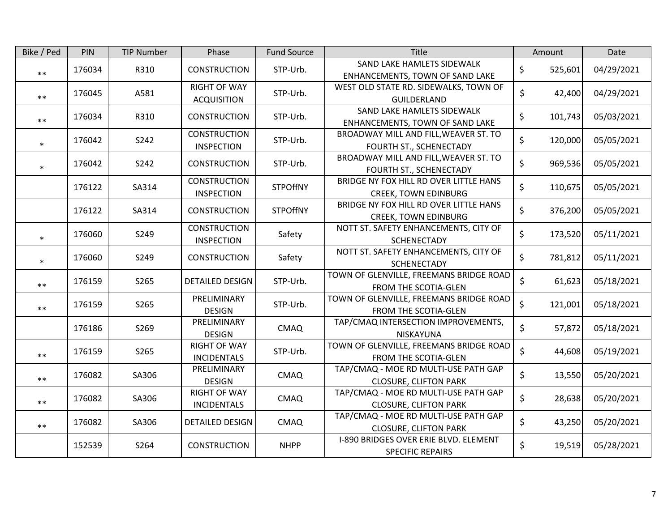| Bike / Ped | PIN    | <b>TIP Number</b> | Phase                                     | <b>Fund Source</b> | Title                                                                 | Amount             | Date       |
|------------|--------|-------------------|-------------------------------------------|--------------------|-----------------------------------------------------------------------|--------------------|------------|
| $***$      | 176034 | R310              | <b>CONSTRUCTION</b>                       | STP-Urb.           | SAND LAKE HAMLETS SIDEWALK<br>ENHANCEMENTS, TOWN OF SAND LAKE         | \$<br>525,601      | 04/29/2021 |
| $***$      | 176045 | A581              | <b>RIGHT OF WAY</b><br><b>ACQUISITION</b> | STP-Urb.           | WEST OLD STATE RD. SIDEWALKS, TOWN OF<br>GUILDERLAND                  | \$<br>42,400       | 04/29/2021 |
| $***$      | 176034 | R310              | <b>CONSTRUCTION</b>                       | STP-Urb.           | SAND LAKE HAMLETS SIDEWALK<br>ENHANCEMENTS, TOWN OF SAND LAKE         | \$<br>101,743      | 05/03/2021 |
| $\ast$     | 176042 | S242              | <b>CONSTRUCTION</b><br><b>INSPECTION</b>  | STP-Urb.           | BROADWAY MILL AND FILL, WEAVER ST. TO<br>FOURTH ST., SCHENECTADY      | \$<br>120,000      | 05/05/2021 |
| $\ast$     | 176042 | S242              | <b>CONSTRUCTION</b>                       | STP-Urb.           | BROADWAY MILL AND FILL, WEAVER ST. TO<br>FOURTH ST., SCHENECTADY      | \$<br>969,536      | 05/05/2021 |
|            | 176122 | SA314             | <b>CONSTRUCTION</b><br><b>INSPECTION</b>  | <b>STPOffNY</b>    | BRIDGE NY FOX HILL RD OVER LITTLE HANS<br><b>CREEK, TOWN EDINBURG</b> | \$<br>110,675      | 05/05/2021 |
|            | 176122 | SA314             | <b>CONSTRUCTION</b>                       | <b>STPOffNY</b>    | BRIDGE NY FOX HILL RD OVER LITTLE HANS<br><b>CREEK, TOWN EDINBURG</b> | $\zeta$<br>376,200 | 05/05/2021 |
| $\ast$     | 176060 | S249              | <b>CONSTRUCTION</b><br><b>INSPECTION</b>  | Safety             | NOTT ST. SAFETY ENHANCEMENTS, CITY OF<br>SCHENECTADY                  | \$<br>173,520      | 05/11/2021 |
| $\ast$     | 176060 | S249              | <b>CONSTRUCTION</b>                       | Safety             | NOTT ST. SAFETY ENHANCEMENTS, CITY OF<br>SCHENECTADY                  | \$<br>781,812      | 05/11/2021 |
| $***$      | 176159 | S265              | <b>DETAILED DESIGN</b>                    | STP-Urb.           | TOWN OF GLENVILLE, FREEMANS BRIDGE ROAD<br>FROM THE SCOTIA-GLEN       | \$<br>61,623       | 05/18/2021 |
| $***$      | 176159 | S265              | PRELIMINARY<br><b>DESIGN</b>              | STP-Urb.           | TOWN OF GLENVILLE, FREEMANS BRIDGE ROAD<br>FROM THE SCOTIA-GLEN       | \$<br>121,001      | 05/18/2021 |
|            | 176186 | S269              | PRELIMINARY<br><b>DESIGN</b>              | <b>CMAQ</b>        | TAP/CMAQ INTERSECTION IMPROVEMENTS,<br>NISKAYUNA                      | $\zeta$<br>57,872  | 05/18/2021 |
| $***$      | 176159 | S265              | <b>RIGHT OF WAY</b><br><b>INCIDENTALS</b> | STP-Urb.           | TOWN OF GLENVILLE, FREEMANS BRIDGE ROAD<br>FROM THE SCOTIA-GLEN       | $\zeta$<br>44,608  | 05/19/2021 |
| $**$       | 176082 | SA306             | PRELIMINARY<br><b>DESIGN</b>              | <b>CMAQ</b>        | TAP/CMAQ - MOE RD MULTI-USE PATH GAP<br><b>CLOSURE, CLIFTON PARK</b>  | \$<br>13,550       | 05/20/2021 |
| $**$       | 176082 | SA306             | <b>RIGHT OF WAY</b><br><b>INCIDENTALS</b> | <b>CMAQ</b>        | TAP/CMAQ - MOE RD MULTI-USE PATH GAP<br><b>CLOSURE, CLIFTON PARK</b>  | \$<br>28,638       | 05/20/2021 |
| $**$       | 176082 | SA306             | <b>DETAILED DESIGN</b>                    | <b>CMAQ</b>        | TAP/CMAQ - MOE RD MULTI-USE PATH GAP<br><b>CLOSURE, CLIFTON PARK</b>  | \$<br>43,250       | 05/20/2021 |
|            | 152539 | S264              | <b>CONSTRUCTION</b>                       | <b>NHPP</b>        | I-890 BRIDGES OVER ERIE BLVD. ELEMENT<br><b>SPECIFIC REPAIRS</b>      | \$<br>19,519       | 05/28/2021 |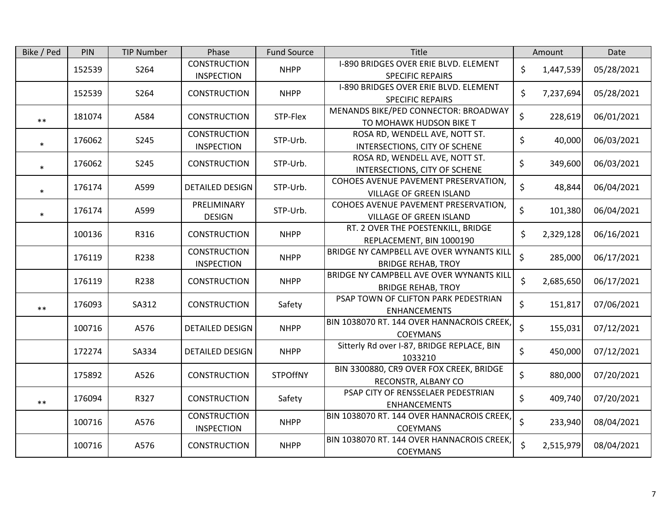| Bike / Ped | PIN    | <b>TIP Number</b> | Phase                                    | <b>Fund Source</b> | <b>Title</b>                                                           |         | Amount    | Date       |
|------------|--------|-------------------|------------------------------------------|--------------------|------------------------------------------------------------------------|---------|-----------|------------|
|            | 152539 | S264              | <b>CONSTRUCTION</b><br><b>INSPECTION</b> | <b>NHPP</b>        | I-890 BRIDGES OVER ERIE BLVD. ELEMENT<br><b>SPECIFIC REPAIRS</b>       | \$      | 1,447,539 | 05/28/2021 |
|            | 152539 | S264              | <b>CONSTRUCTION</b>                      | <b>NHPP</b>        | I-890 BRIDGES OVER ERIE BLVD. ELEMENT<br><b>SPECIFIC REPAIRS</b>       | \$      | 7,237,694 | 05/28/2021 |
| $**$       | 181074 | A584              | <b>CONSTRUCTION</b>                      | STP-Flex           | MENANDS BIKE/PED CONNECTOR: BROADWAY<br>TO MOHAWK HUDSON BIKE T        | \$      | 228,619   | 06/01/2021 |
| $\ast$     | 176062 | S245              | <b>CONSTRUCTION</b><br><b>INSPECTION</b> | STP-Urb.           | ROSA RD, WENDELL AVE, NOTT ST.<br>INTERSECTIONS, CITY OF SCHENE        | $\zeta$ | 40,000    | 06/03/2021 |
| $\ast$     | 176062 | S245              | <b>CONSTRUCTION</b>                      | STP-Urb.           | ROSA RD, WENDELL AVE, NOTT ST.<br>INTERSECTIONS, CITY OF SCHENE        | \$      | 349,600   | 06/03/2021 |
| $\ast$     | 176174 | A599              | <b>DETAILED DESIGN</b>                   | STP-Urb.           | COHOES AVENUE PAVEMENT PRESERVATION,<br><b>VILLAGE OF GREEN ISLAND</b> | $\zeta$ | 48,844    | 06/04/2021 |
| $\ast$     | 176174 | A599              | PRELIMINARY<br><b>DESIGN</b>             | STP-Urb.           | COHOES AVENUE PAVEMENT PRESERVATION,<br><b>VILLAGE OF GREEN ISLAND</b> | \$      | 101,380   | 06/04/2021 |
|            | 100136 | R316              | <b>CONSTRUCTION</b>                      | <b>NHPP</b>        | RT. 2 OVER THE POESTENKILL, BRIDGE<br>REPLACEMENT, BIN 1000190         | \$      | 2,329,128 | 06/16/2021 |
|            | 176119 | R238              | <b>CONSTRUCTION</b><br><b>INSPECTION</b> | <b>NHPP</b>        | BRIDGE NY CAMPBELL AVE OVER WYNANTS KILL<br><b>BRIDGE REHAB, TROY</b>  | \$      | 285,000   | 06/17/2021 |
|            | 176119 | R238              | <b>CONSTRUCTION</b>                      | <b>NHPP</b>        | BRIDGE NY CAMPBELL AVE OVER WYNANTS KILL<br><b>BRIDGE REHAB, TROY</b>  | \$      | 2,685,650 | 06/17/2021 |
| $**$       | 176093 | SA312             | <b>CONSTRUCTION</b>                      | Safety             | PSAP TOWN OF CLIFTON PARK PEDESTRIAN<br><b>ENHANCEMENTS</b>            | $\zeta$ | 151,817   | 07/06/2021 |
|            | 100716 | A576              | <b>DETAILED DESIGN</b>                   | <b>NHPP</b>        | BIN 1038070 RT. 144 OVER HANNACROIS CREEK,<br><b>COEYMANS</b>          | \$      | 155,031   | 07/12/2021 |
|            | 172274 | SA334             | <b>DETAILED DESIGN</b>                   | <b>NHPP</b>        | Sitterly Rd over I-87, BRIDGE REPLACE, BIN<br>1033210                  | \$      | 450,000   | 07/12/2021 |
|            | 175892 | A526              | <b>CONSTRUCTION</b>                      | <b>STPOffNY</b>    | BIN 3300880, CR9 OVER FOX CREEK, BRIDGE<br>RECONSTR, ALBANY CO         | \$      | 880,000   | 07/20/2021 |
| $**$       | 176094 | R327              | <b>CONSTRUCTION</b>                      | Safety             | PSAP CITY OF RENSSELAER PEDESTRIAN<br><b>ENHANCEMENTS</b>              | \$      | 409,740   | 07/20/2021 |
|            | 100716 | A576              | <b>CONSTRUCTION</b><br><b>INSPECTION</b> | <b>NHPP</b>        | BIN 1038070 RT. 144 OVER HANNACROIS CREEK,<br><b>COEYMANS</b>          | \$      | 233,940   | 08/04/2021 |
|            | 100716 | A576              | <b>CONSTRUCTION</b>                      | <b>NHPP</b>        | BIN 1038070 RT. 144 OVER HANNACROIS CREEK,<br><b>COEYMANS</b>          | \$      | 2,515,979 | 08/04/2021 |